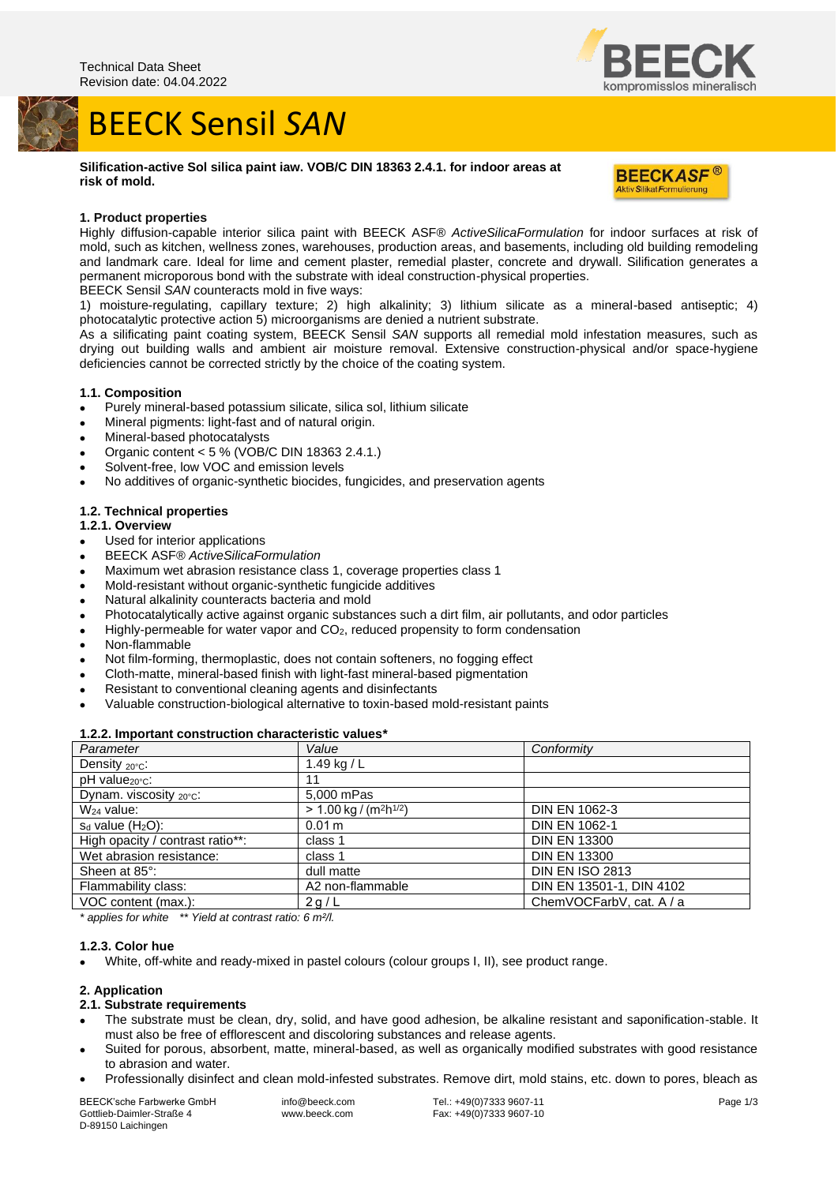## BEECK Sensil *SAN*

**Silification-active Sol silica paint iaw. VOB/C DIN 18363 2.4.1. for indoor areas at risk of mold.**



ompromisslos mineralisch

## **1. Product properties**

Highly diffusion-capable interior silica paint with BEECK ASF® *ActiveSilicaFormulation* for indoor surfaces at risk of mold, such as kitchen, wellness zones, warehouses, production areas, and basements, including old building remodeling and landmark care. Ideal for lime and cement plaster, remedial plaster, concrete and drywall. Silification generates a permanent microporous bond with the substrate with ideal construction-physical properties.

BEECK Sensil *SAN* counteracts mold in five ways:

1) moisture-regulating, capillary texture; 2) high alkalinity; 3) lithium silicate as a mineral-based antiseptic; 4) photocatalytic protective action 5) microorganisms are denied a nutrient substrate.

As a silificating paint coating system, BEECK Sensil *SAN* supports all remedial mold infestation measures, such as drying out building walls and ambient air moisture removal. Extensive construction-physical and/or space-hygiene deficiencies cannot be corrected strictly by the choice of the coating system.

## **1.1. Composition**

- Purely mineral-based potassium silicate, silica sol, lithium silicate
- Mineral pigments: light-fast and of natural origin.
- Mineral-based photocatalysts
- Organic content < 5 % (VOB/C DIN 18363 2.4.1.)
- Solvent-free, low VOC and emission levels
- No additives of organic-synthetic biocides, fungicides, and preservation agents

## **1.2. Technical properties**

#### **1.2.1. Overview**

- Used for interior applications
- BEECK ASF® *ActiveSilicaFormulation*
- Maximum wet abrasion resistance class 1, coverage properties class 1
- Mold-resistant without organic-synthetic fungicide additives
- Natural alkalinity counteracts bacteria and mold
- Photocatalytically active against organic substances such a dirt film, air pollutants, and odor particles
- Highly-permeable for water vapor and CO2, reduced propensity to form condensation
- Non-flammable
- Not film-forming, thermoplastic, does not contain softeners, no fogging effect
- Cloth-matte, mineral-based finish with light-fast mineral-based pigmentation
- Resistant to conventional cleaning agents and disinfectants
- Valuable construction-biological alternative to toxin-based mold-resistant paints

#### **1.2.2. Important construction characteristic values\***

| Parameter                        | Value                                            | Conformity               |
|----------------------------------|--------------------------------------------------|--------------------------|
| Density $20^{\circ}$ C:          | 1.49 kg / $L$                                    |                          |
| $pH$ value $_{20^{\circ}C}$ :    | 11                                               |                          |
| Dynam. viscosity 20°C:           | 5,000 mPas                                       |                          |
| $W_{24}$ value:                  | $> 1.00$ kg / (m <sup>2</sup> h <sup>1/2</sup> ) | <b>DIN EN 1062-3</b>     |
| $s_d$ value (H <sub>2</sub> O):  | 0.01 m                                           | DIN EN 1062-1            |
| High opacity / contrast ratio**: | class 1                                          | <b>DIN EN 13300</b>      |
| Wet abrasion resistance:         | class 1                                          | <b>DIN EN 13300</b>      |
| Sheen at 85°:                    | dull matte                                       | <b>DIN EN ISO 2813</b>   |
| Flammability class:              | A2 non-flammable                                 | DIN EN 13501-1, DIN 4102 |
| VOC content (max.):              | 2g/L                                             | ChemVOCFarbV, cat. A / a |

*\* applies for white \*\* Yield at contrast ratio: 6 m²/l.*

## **1.2.3. Color hue**

• White, off-white and ready-mixed in pastel colours (colour groups I, II), see product range.

#### **2. Application**

#### **2.1. Substrate requirements**

- The substrate must be clean, dry, solid, and have good adhesion, be alkaline resistant and saponification-stable. It must also be free of efflorescent and discoloring substances and release agents.
- Suited for porous, absorbent, matte, mineral-based, as well as organically modified substrates with good resistance to abrasion and water.
- Professionally disinfect and clean mold-infested substrates. Remove dirt, mold stains, etc. down to pores, bleach as

BEECK'sche Farbwerke GmbH Gottlieb-Daimler-Straße 4 D-89150 Laichingen

info@beeck.com www.beeck.com Tel.: +49(0)7333 9607-11 Fax: +49(0)7333 9607-10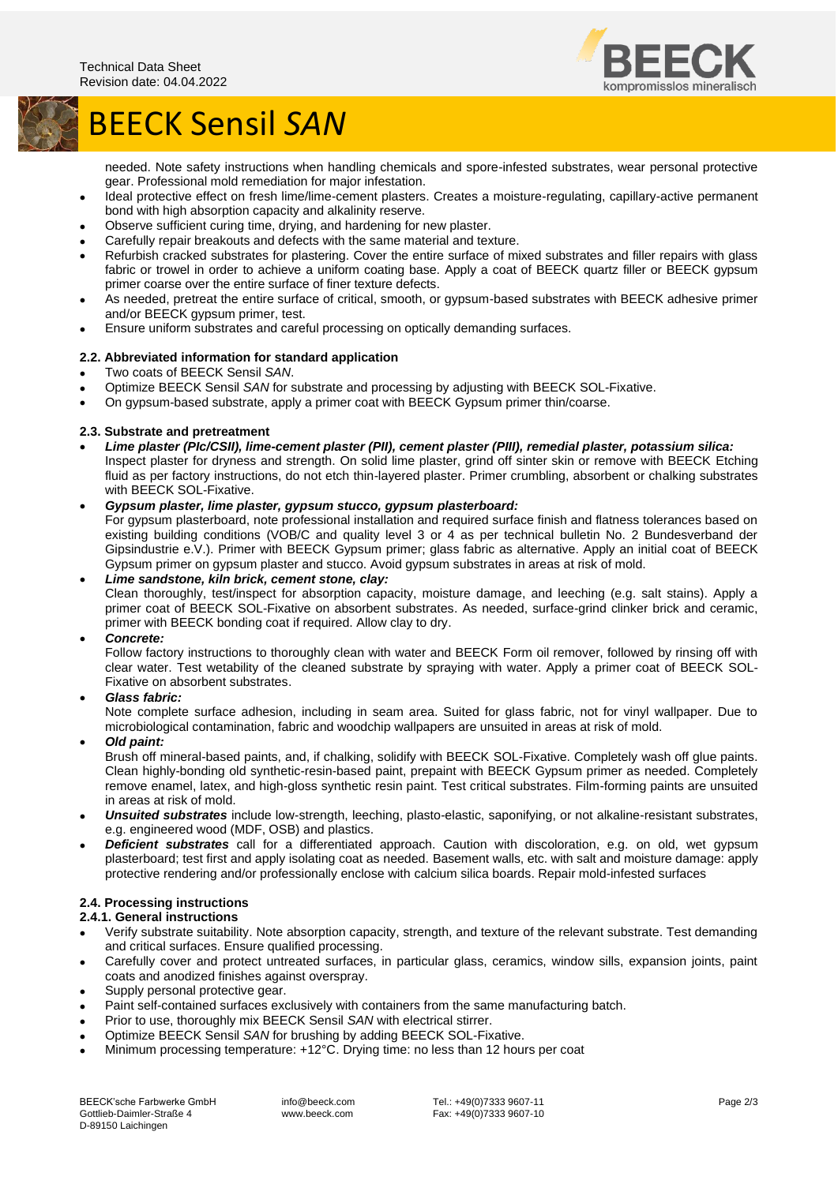

# BEECK Sensil *SAN*

needed. Note safety instructions when handling chemicals and spore-infested substrates, wear personal protective gear. Professional mold remediation for major infestation.

- Ideal protective effect on fresh lime/lime-cement plasters. Creates a moisture-regulating, capillary-active permanent bond with high absorption capacity and alkalinity reserve.
- Observe sufficient curing time, drying, and hardening for new plaster.
- Carefully repair breakouts and defects with the same material and texture.
- Refurbish cracked substrates for plastering. Cover the entire surface of mixed substrates and filler repairs with glass fabric or trowel in order to achieve a uniform coating base. Apply a coat of BEECK quartz filler or BEECK gypsum primer coarse over the entire surface of finer texture defects.
- As needed, pretreat the entire surface of critical, smooth, or gypsum-based substrates with BEECK adhesive primer and/or BEECK gypsum primer, test.
- Ensure uniform substrates and careful processing on optically demanding surfaces.

## **2.2. Abbreviated information for standard application**

- Two coats of BEECK Sensil *SAN*.
- Optimize BEECK Sensil *SAN* for substrate and processing by adjusting with BEECK SOL-Fixative.
- On gypsum-based substrate, apply a primer coat with BEECK Gypsum primer thin/coarse.

## **2.3. Substrate and pretreatment**

• *Lime plaster (PIc/CSII), lime-cement plaster (PII), cement plaster (PIII), remedial plaster, potassium silica:* Inspect plaster for dryness and strength. On solid lime plaster, grind off sinter skin or remove with BEECK Etching fluid as per factory instructions, do not etch thin-layered plaster. Primer crumbling, absorbent or chalking substrates with BEECK SOL-Fixative.

## • *Gypsum plaster, lime plaster, gypsum stucco, gypsum plasterboard:*

For gypsum plasterboard, note professional installation and required surface finish and flatness tolerances based on existing building conditions (VOB/C and quality level 3 or 4 as per technical bulletin No. 2 Bundesverband der Gipsindustrie e.V.). Primer with BEECK Gypsum primer; glass fabric as alternative. Apply an initial coat of BEECK Gypsum primer on gypsum plaster and stucco. Avoid gypsum substrates in areas at risk of mold.

## • *Lime sandstone, kiln brick, cement stone, clay:*

Clean thoroughly, test/inspect for absorption capacity, moisture damage, and leeching (e.g. salt stains). Apply a primer coat of BEECK SOL-Fixative on absorbent substrates. As needed, surface-grind clinker brick and ceramic, primer with BEECK bonding coat if required. Allow clay to dry.

#### • *Concrete:*

Follow factory instructions to thoroughly clean with water and BEECK Form oil remover, followed by rinsing off with clear water. Test wetability of the cleaned substrate by spraying with water. Apply a primer coat of BEECK SOL-Fixative on absorbent substrates.

• *Glass fabric:*

Note complete surface adhesion, including in seam area. Suited for glass fabric, not for vinyl wallpaper. Due to microbiological contamination, fabric and woodchip wallpapers are unsuited in areas at risk of mold.

#### • *Old paint:*

Brush off mineral-based paints, and, if chalking, solidify with BEECK SOL-Fixative. Completely wash off glue paints. Clean highly-bonding old synthetic-resin-based paint, prepaint with BEECK Gypsum primer as needed. Completely remove enamel, latex, and high-gloss synthetic resin paint. Test critical substrates. Film-forming paints are unsuited in areas at risk of mold.

- *Unsuited substrates* include low-strength, leeching, plasto-elastic, saponifying, or not alkaline-resistant substrates, e.g. engineered wood (MDF, OSB) and plastics.
- *Deficient substrates* call for a differentiated approach. Caution with discoloration, e.g. on old, wet gypsum plasterboard; test first and apply isolating coat as needed. Basement walls, etc. with salt and moisture damage: apply protective rendering and/or professionally enclose with calcium silica boards. Repair mold-infested surfaces

## **2.4. Processing instructions**

## **2.4.1. General instructions**

- Verify substrate suitability. Note absorption capacity, strength, and texture of the relevant substrate. Test demanding and critical surfaces. Ensure qualified processing.
- Carefully cover and protect untreated surfaces, in particular glass, ceramics, window sills, expansion joints, paint coats and anodized finishes against overspray.
- Supply personal protective gear.
- Paint self-contained surfaces exclusively with containers from the same manufacturing batch.
- Prior to use, thoroughly mix BEECK Sensil *SAN* with electrical stirrer.
- Optimize BEECK Sensil *SAN* for brushing by adding BEECK SOL-Fixative.
- Minimum processing temperature: +12°C. Drying time: no less than 12 hours per coat